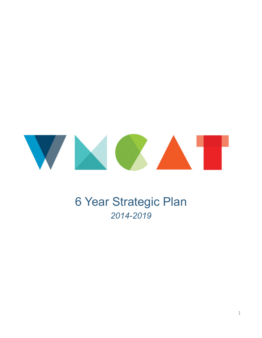

# 6 Year Strategic Plan *2014-2019*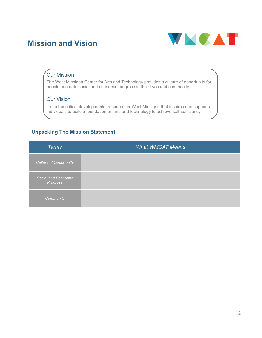### **Mission and Vision**



#### Our Mission

The West Michigan Center for Arts and Technology provides a culture of opportunity for people to create social and economic progress in their lives and community.

#### Our Vision

To be the critical developmental resource for West Michigan that inspires and supports individuals to build a foundation on arts and technology to achieve self-sufficiency.

#### **Unpacking The Mission Statement**

| <b>Terms</b>                    | <b>What WMCAT Means</b> |
|---------------------------------|-------------------------|
| Culture of Opportunity          |                         |
| Social and Economic<br>Progress |                         |
| Community                       |                         |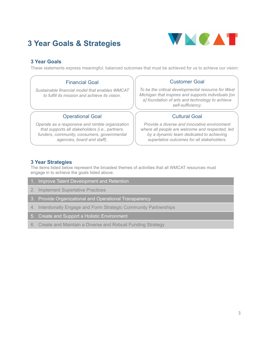### **3 Year Goals & Strategies**



#### **3 Year Goals**

These statements express meaningful, balanced outcomes that must be achieved for us to achieve our vision:

#### Financial Goal

*Sustainable financial model that enables WMCAT to fulfill its mission and achieve its vision.* 

#### Operational Goal

*Operate as a responsive and nimble organization that supports all stakeholders (i.e., partners, funders, community, consumers, governmental agencies, board and staff).* 

#### Customer Goal

*To be the critical developmental resource for West Michigan that inspires and supports individuals [on a] foundation of arts and technology to achieve self-sufficiency.* 

#### Cultural Goal

*Provide a diverse and innovative environment where all people are welcome and respected, led by a dynamic team dedicated to achieving superlative outcomes for all stakeholders.* 

#### **3 Year Strategies**

The items listed below represent the broadest themes of activities that all WMCAT resources must engage in to achieve the goals listed above.

1. Improve Talent Development and Retention

2. Implement Superlative Practices

- 3. Provide Organizational and Operational Transparency
- 4. Intentionally Engage and Form Strategic Community Partnerships
- 5. Create and Support a Holistic Environment
- 6. Create and Maintain a Diverse and Robust Funding Strategy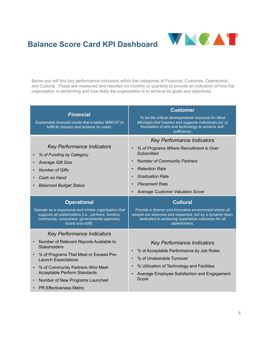

## **Balance Score Card KPI Dashboard**

Below you will find key performance indicators within the categories of Financial, Customer, Operational, and Cultural. These are measured and reported on monthly or quarterly to provide an indication of how the organization is performing and how likely the organization is to achieve its goals and objectives.

| <b>Financial</b><br>Sustainable financial model that enables WMCAT to<br>fulfill its mission and achieve its vision.                                                             | <b>Customer</b><br>To be the critical developmental resource for West<br>Michigan that inspires and supports individuals [on a]<br>foundation of arts and technology to achieve self-<br>sufficiency.                                                                                                                     |  |  |  |
|----------------------------------------------------------------------------------------------------------------------------------------------------------------------------------|---------------------------------------------------------------------------------------------------------------------------------------------------------------------------------------------------------------------------------------------------------------------------------------------------------------------------|--|--|--|
| <b>Key Performance Indicators</b><br>% of Funding by Category<br><b>Average Gift Size</b><br><b>Number of Gifts</b><br>Cash on Hand<br><b>Balanced Budget Status</b>             | <b>Key Performance Indicators</b><br>% of Programs Where Recruitment is Over<br><b>Subscribed</b><br><b>Number of Community Partners</b><br>$\bullet$<br><b>Retention Rate</b><br>$\bullet$<br><b>Graduation Rate</b><br>$\bullet$<br><b>Placement Rate</b><br>$\bullet$<br>Average Customer Valuation Score<br>$\bullet$ |  |  |  |
| <b>Operational</b>                                                                                                                                                               | <b>Cultural</b><br>Provide a diverse and innovative environment where all<br>people are welcome and respected, led by a dynamic team<br>dedicated to achieving superlative outcomes for all<br>stakeholders.                                                                                                              |  |  |  |
| Operate as a responsive and nimble organization that<br>supports all stakeholders (i.e., partners, funders,<br>community, consumers, governmental agencies,<br>board and staff). |                                                                                                                                                                                                                                                                                                                           |  |  |  |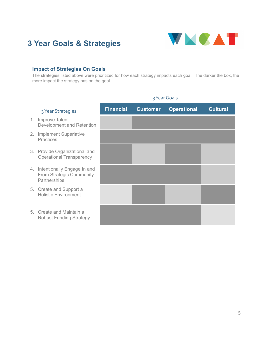### **3 Year Goals & Strategies**



### **Impact of Strategies On Goals**

The strategies listed above were prioritized for how each strategy impacts each goal. The darker the box, the more impact the strategy has on the goal.

| 3 Year Strategies                                                          | <b>Financial</b> | <b>Customer</b> | <b>Operational</b> | <b>Cultural</b> |
|----------------------------------------------------------------------------|------------------|-----------------|--------------------|-----------------|
| 1. Improve Talent<br>Development and Retention                             |                  |                 |                    |                 |
| 2. Implement Superlative<br><b>Practices</b>                               |                  |                 |                    |                 |
| 3. Provide Organizational and<br><b>Operational Transparency</b>           |                  |                 |                    |                 |
| 4. Intentionally Engage In and<br>From Strategic Community<br>Partnerships |                  |                 |                    |                 |
| 5. Create and Support a<br><b>Holistic Environment</b>                     |                  |                 |                    |                 |
| 5. Create and Maintain a<br><b>Robust Funding Strategy</b>                 |                  |                 |                    |                 |
|                                                                            |                  |                 |                    |                 |

#### 3 Year Goals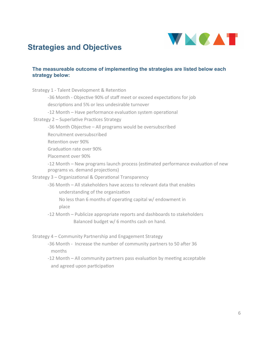

### **Strategies and Objectives**

#### **The measureable outcome of implementing the strategies are listed below each strategy below:**

| Strategy 1 - Talent Development & Retention                                                                          |
|----------------------------------------------------------------------------------------------------------------------|
| -36 Month - Objective 90% of staff meet or exceed expectations for job                                               |
| descriptions and 5% or less undesirable turnover                                                                     |
| -12 Month - Have performance evaluation system operational                                                           |
| Strategy 2 - Superlative Practices Strategy                                                                          |
| -36 Month Objective – All programs would be oversubscribed                                                           |
| Recruitment oversubscribed                                                                                           |
| Retention over 90%                                                                                                   |
| Graduation rate over 90%                                                                                             |
| Placement over 90%                                                                                                   |
| -12 Month - New programs launch process (estimated performance evaluation of new<br>programs vs. demand projections) |
| Strategy 3 - Organizational & Operational Transparency                                                               |
| -36 Month - All stakeholders have access to relevant data that enables<br>understanding of the organization          |
| No less than 6 months of operating capital w/ endowment in<br>place                                                  |
| -12 Month - Publicize appropriate reports and dashboards to stakeholders                                             |
| Balanced budget w/ 6 months cash on hand.                                                                            |
| Strategy 4 - Community Partnership and Engagement Strategy                                                           |

- -36 Month Increase the number of community partners to 50 after 36 months
- -12 Month All community partners pass evaluation by meeting acceptable and agreed upon participation